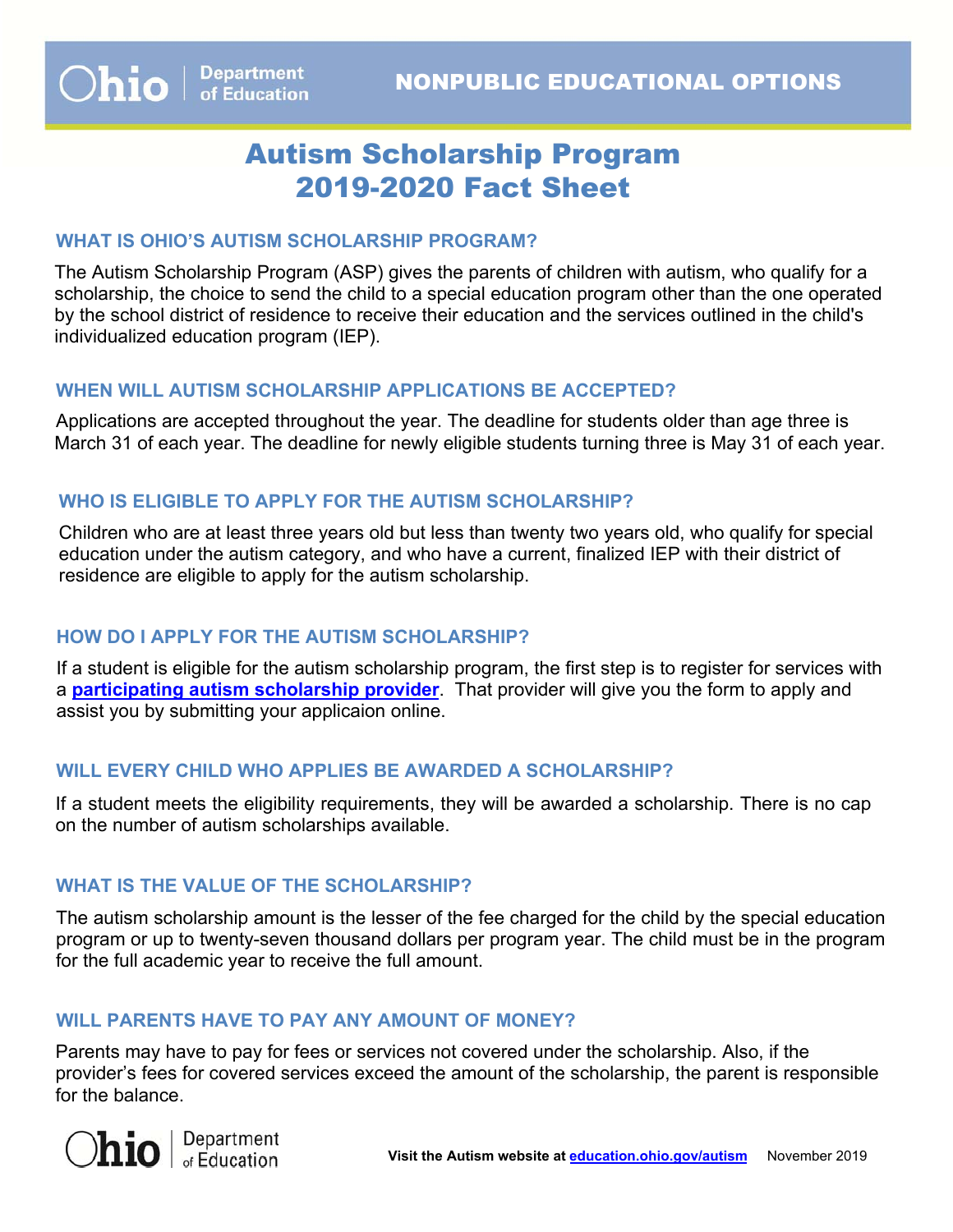# Autism Scholarship Program 2019-2020 Fact Sheet

#### **WHAT IS OHIO'S AUTISM SCHOLARSHIP PROGRAM?**

The Autism Scholarship Program (ASP) gives the parents of children with autism, who qualify for a scholarship, the choice to send the child to a special education program other than the one operated by the school district of residence to receive their education and the services outlined in the child's individualized education program (IEP).

## **WHEN WILL AUTISM SCHOLARSHIP APPLICATIONS BE ACCEPTED?**

Applications are accepted throughout the year. The deadline for students older than age three is March 31 of each year. The deadline for newly eligible students turning three is May 31 of each year.

## **WHO IS ELIGIBLE TO APPLY FOR THE AUTISM SCHOLARSHIP?**

Children who are at least three years old but less than twenty two years old, who qualify for special education under the autism category, and who have a current, finalized IEP with their district of residence are eligible to apply for the autism scholarship.

## **HOW DO I APPLY FOR THE AUTISM SCHOLARSHIP?**

If a student is eligible for the autism scholarship program, the first step is to register for services with a **[participating autism scholarship provide](https://scholarship.ode.state.oh.us/Provider)r**. That provider will give you the form to apply and assist you by submitting your applicaion online.

#### **WILL EVERY CHILD WHO APPLIES BE AWARDED A SCHOLARSHIP?**

If a student meets the eligibility requirements, they will be awarded a scholarship. There is no cap on the number of autism scholarships available.

## **WHAT IS THE VALUE OF THE SCHOLARSHIP?**

 program or up to twenty-seven thousand dollars per program year. The child must be in the program The autism scholarship amount is the lesser of the fee charged for the child by the special education for the full academic year to receive the full amount.

## **WILL PARENTS HAVE TO PAY ANY AMOUNT OF MONEY?**

Parents may have to pay for fees or services not covered under the scholarship. Also, if the provider's fees for covered services exceed the amount of the scholarship, the parent is responsible for the balance.